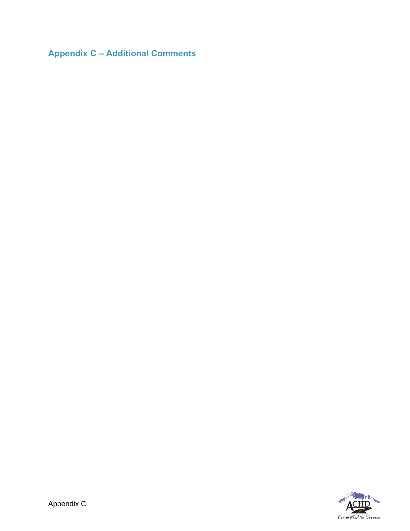**Appendix C – Additional Comments**

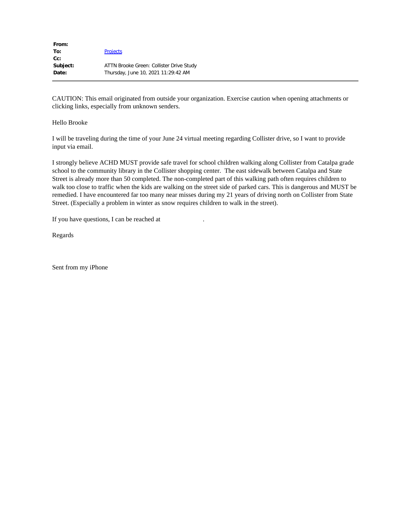| From:    |                                          |
|----------|------------------------------------------|
| To:      | <b>Projects</b>                          |
| $Cc$ :   |                                          |
| Subject: | ATTN Brooke Green: Collister Drive Study |
| Date:    | Thursday, June 10, 2021 11:29:42 AM      |
|          |                                          |

#### Hello Brooke

I will be traveling during the time of your June 24 virtual meeting regarding Collister drive, so I want to provide input via email.

I strongly believe ACHD MUST provide safe travel for school children walking along Collister from Catalpa grade school to the community library in the Collister shopping center. The east sidewalk between Catalpa and State Street is already more than 50 completed. The non-completed part of this walking path often requires children to walk too close to traffic when the kids are walking on the street side of parked cars. This is dangerous and MUST be remedied. I have encountered far too many near misses during my 21 years of driving north on Collister from State Street. (Especially a problem in winter as snow requires children to walk in the street).

If you have questions, I can be reached at

Regards

Sent from my iPhone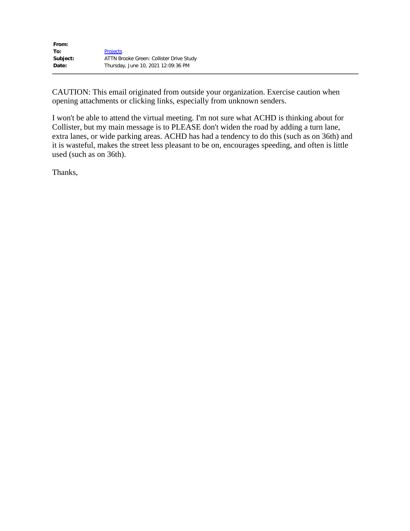| <b>Projects</b>                          |
|------------------------------------------|
| ATTN Brooke Green: Collister Drive Study |
| Thursday, June 10, 2021 12:09:36 PM      |
|                                          |

I won't be able to attend the virtual meeting. I'm not sure what ACHD is thinking about for Collister, but my main message is to PLEASE don't widen the road by adding a turn lane, extra lanes, or wide parking areas. ACHD has had a tendency to do this (such as on 36th) and it is wasteful, makes the street less pleasant to be on, encourages speeding, and often is little used (such as on 36th).

Thanks,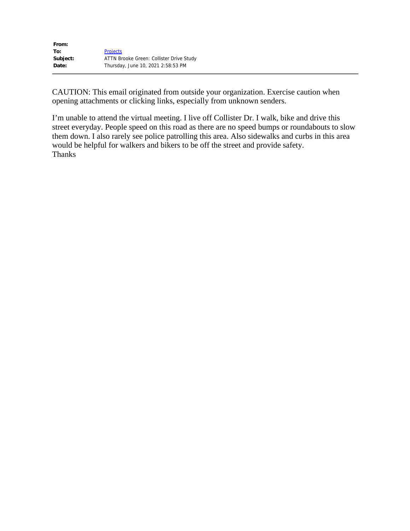| From:    |                                          |
|----------|------------------------------------------|
| To:      | <b>Projects</b>                          |
| Subject: | ATTN Brooke Green: Collister Drive Study |
| Date:    | Thursday, June 10, 2021 2:58:53 PM       |
|          |                                          |

I'm unable to attend the virtual meeting. I live off Collister Dr. I walk, bike and drive this street everyday. People speed on this road as there are no speed bumps or roundabouts to slow them down. I also rarely see police patrolling this area. Also sidewalks and curbs in this area would be helpful for walkers and bikers to be off the street and provide safety. Thanks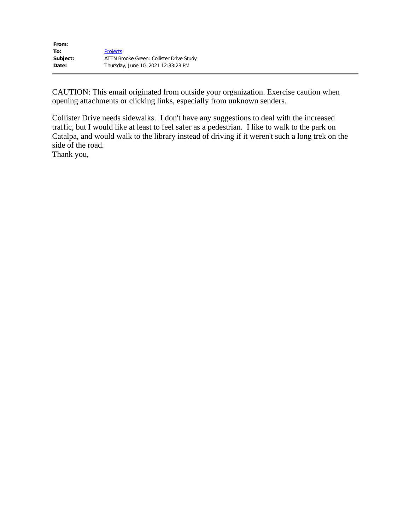| <b>Projects</b>                          |
|------------------------------------------|
| ATTN Brooke Green: Collister Drive Study |
| Thursday, June 10, 2021 12:33:23 PM      |
|                                          |

Collister Drive needs sidewalks. I don't have any suggestions to deal with the increased traffic, but I would like at least to feel safer as a pedestrian. I like to walk to the park on Catalpa, and would walk to the library instead of driving if it weren't such a long trek on the side of the road.

Thank you,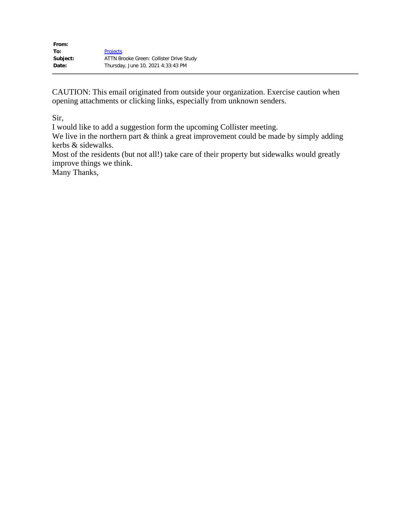| <b>Projects</b>                          |
|------------------------------------------|
| ATTN Brooke Green: Collister Drive Study |
| Thursday, June 10, 2021 4:33:43 PM       |
|                                          |

Sir,

I would like to add a suggestion form the upcoming Collister meeting.

We live in the northern part & think a great improvement could be made by simply adding kerbs & sidewalks.

Most of the residents (but not all!) take care of their property but sidewalks would greatly improve things we think.

Many Thanks,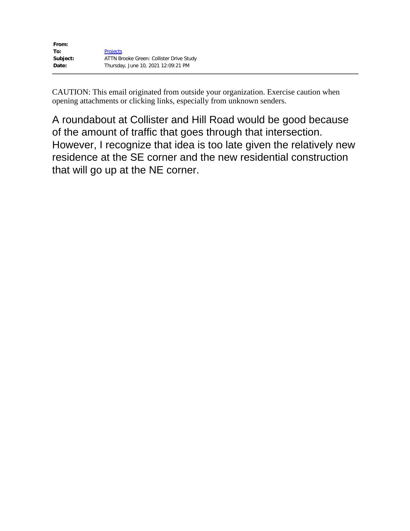| <b>Projects</b>                          |
|------------------------------------------|
| ATTN Brooke Green: Collister Drive Study |
| Thursday, June 10, 2021 12:09:21 PM      |
|                                          |

A roundabout at Collister and Hill Road would be good because of the amount of traffic that goes through that intersection. However, I recognize that idea is too late given the relatively new residence at the SE corner and the new residential construction that will go up at the NE corner.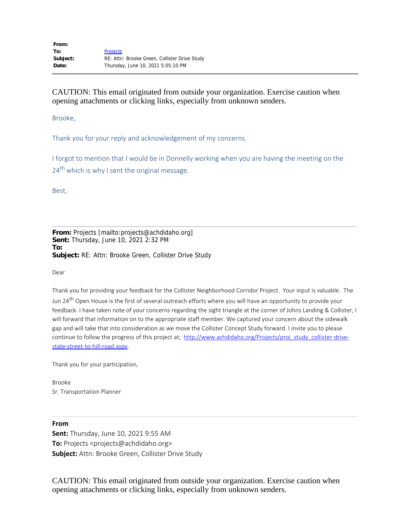Brooke,

Thank you for your reply and acknowledgement of my concerns.

I forgot to mention that I would be in Donnelly working when you are having the meeting on the  $24<sup>th</sup>$  which is why I sent the original message.

Best,

**From:** Projects [mailto:projects@achdidaho.org] **Sent:** Thursday, June 10, 2021 2:32 PM **To: Subject:** RE: Attn: Brooke Green, Collister Drive Study

Dear

Thank you for providing your feedback for the Collister Neighborhood Corridor Project. Your input is valuable. The Jun 24<sup>th</sup> Open House is the first of several outreach efforts where you will have an opportunity to provide your feedback. I have taken note of your concerns regarding the sight triangle at the corner of Johns Landing & Collister, I will forward that information on to the appropriate staff member. We captured your concern about the sidewalk gap and will take that into consideration as we move the Collister Concept Study forward. I invite you to please continue to follow the progress of this project at; http://www.achdidaho.org/Projects/proj\_study\_collister-drivestate-street-to-hill-road.aspx.

Thank you for your participation,

Brooke Sr. Transportation Planner

**From Sent:** Thursday, June 10, 2021 9:55 AM **To:** Projects <projects@achdidaho.org> **Subject:** Attn: Brooke Green, Collister Drive Study

CAUTION: This email originated from outside your organization. Exercise caution when opening attachments or clicking links, especially from unknown senders.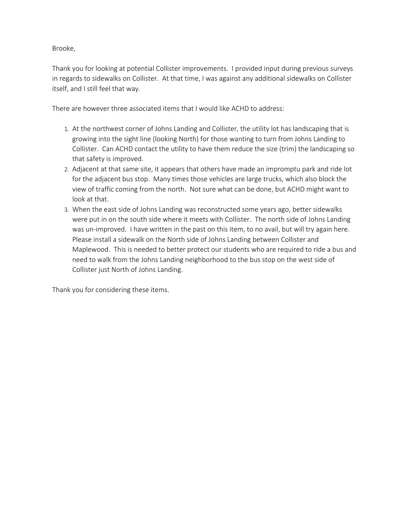Brooke,

Thank you for looking at potential Collister improvements. I provided input during previous surveys in regards to sidewalks on Collister. At that time, I was against any additional sidewalks on Collister itself, and I still feel that way.

There are however three associated items that I would like ACHD to address:

- 1. At the northwest corner of Johns Landing and Collister, the utility lot has landscaping that is growing into the sight line (looking North) for those wanting to turn from Johns Landing to Collister. Can ACHD contact the utility to have them reduce the size (trim) the landscaping so that safety is improved.
- 2. Adjacent at that same site, it appears that others have made an impromptu park and ride lot for the adjacent bus stop. Many times those vehicles are large trucks, which also block the view of traffic coming from the north. Not sure what can be done, but ACHD might want to look at that.
- 3. When the east side of Johns Landing was reconstructed some years ago, better sidewalks were put in on the south side where it meets with Collister. The north side of Johns Landing was un-improved. I have written in the past on this item, to no avail, but will try again here. Please install a sidewalk on the North side of Johns Landing between Collister and Maplewood. This is needed to better protect our students who are required to ride a bus and need to walk from the Johns Landing neighborhood to the bus stop on the west side of Collister just North of Johns Landing.

Thank you for considering these items.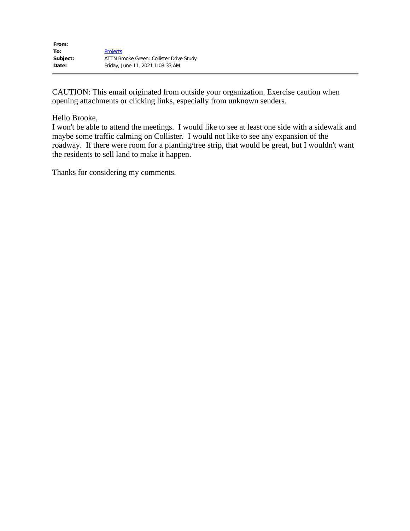| From:    |                                          |
|----------|------------------------------------------|
| To:      | <b>Projects</b>                          |
| Subject: | ATTN Brooke Green: Collister Drive Study |
| Date:    | Friday, June 11, 2021 1:08:33 AM         |

#### Hello Brooke,

I won't be able to attend the meetings. I would like to see at least one side with a sidewalk and maybe some traffic calming on Collister. I would not like to see any expansion of the roadway. If there were room for a planting/tree strip, that would be great, but I wouldn't want the residents to sell land to make it happen.

Thanks for considering my comments.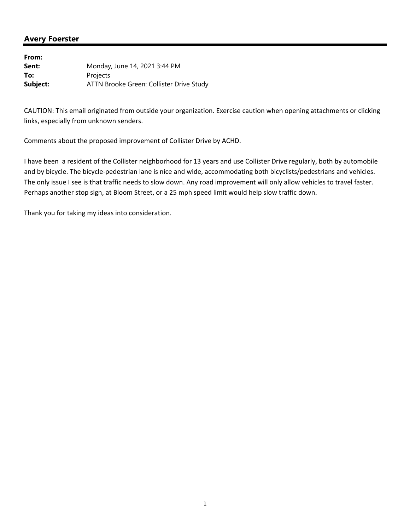## **Avery Foerster**

**From: Sent:** Monday, June 14, 2021 3:44 PM To: Projects **Subject:** ATTN Brooke Green: Collister Drive Study

CAUTION: This email originated from outside your organization. Exercise caution when opening attachments or clicking links, especially from unknown senders.

Comments about the proposed improvement of Collister Drive by ACHD.

I have been a resident of the Collister neighborhood for 13 years and use Collister Drive regularly, both by automobile and by bicycle. The bicycle-pedestrian lane is nice and wide, accommodating both bicyclists/pedestrians and vehicles. The only issue I see is that traffic needs to slow down. Any road improvement will only allow vehicles to travel faster. Perhaps another stop sign, at Bloom Street, or a 25 mph speed limit would help slow traffic down.

Thank you for taking my ideas into consideration.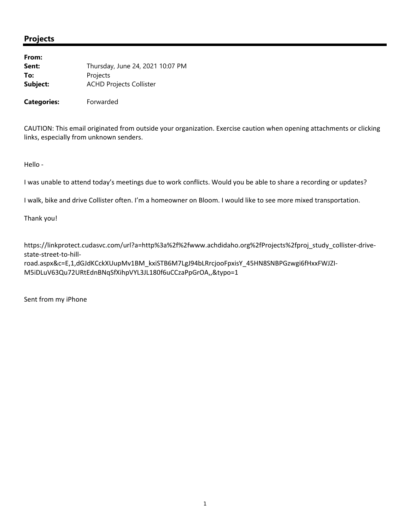| From:    |                                  |
|----------|----------------------------------|
| Sent:    | Thursday, June 24, 2021 10:07 PM |
| To:      | Projects                         |
| Subject: | <b>ACHD Projects Collister</b>   |
|          |                                  |

**Categories:** Forwarded

CAUTION: This email originated from outside your organization. Exercise caution when opening attachments or clicking links, especially from unknown senders.

Hello ‐

I was unable to attend today's meetings due to work conflicts. Would you be able to share a recording or updates?

I walk, bike and drive Collister often. I'm a homeowner on Bloom. I would like to see more mixed transportation.

Thank you!

https://linkprotect.cudasvc.com/url?a=http%3a%2f%2fwww.achdidaho.org%2fProjects%2fproj\_study\_collister‐drive‐ state‐street‐to‐hill‐

road.aspx&c=E,1,dGJdKCckXUupMv1BM\_kxiSTB6M7LgJ94bLRrcjooFpxisY\_45HN8SNBPGzwgi6fHxxFWJZI‐ M5iDLuV63Qu72URtEdnBNqSfXihpVYL3JL180f6uCCzaPpGrOA,,&typo=1

Sent from my iPhone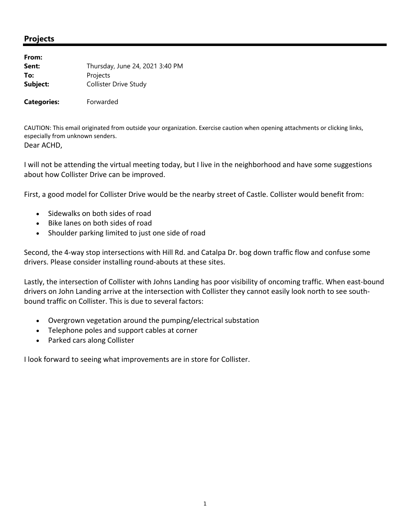| From:              |                                 |  |
|--------------------|---------------------------------|--|
| Sent:              | Thursday, June 24, 2021 3:40 PM |  |
| To:                | Projects                        |  |
| Subject:           | <b>Collister Drive Study</b>    |  |
| <b>Categories:</b> | Forwarded                       |  |

CAUTION: This email originated from outside your organization. Exercise caution when opening attachments or clicking links, especially from unknown senders. Dear ACHD,

I will not be attending the virtual meeting today, but I live in the neighborhood and have some suggestions about how Collister Drive can be improved.

First, a good model for Collister Drive would be the nearby street of Castle. Collister would benefit from:

- Sidewalks on both sides of road
- Bike lanes on both sides of road
- Shoulder parking limited to just one side of road

Second, the 4‐way stop intersections with Hill Rd. and Catalpa Dr. bog down traffic flow and confuse some drivers. Please consider installing round‐abouts at these sites.

Lastly, the intersection of Collister with Johns Landing has poor visibility of oncoming traffic. When east-bound drivers on John Landing arrive at the intersection with Collister they cannot easily look north to see south‐ bound traffic on Collister. This is due to several factors:

- Overgrown vegetation around the pumping/electrical substation
- Telephone poles and support cables at corner
- Parked cars along Collister

I look forward to seeing what improvements are in store for Collister.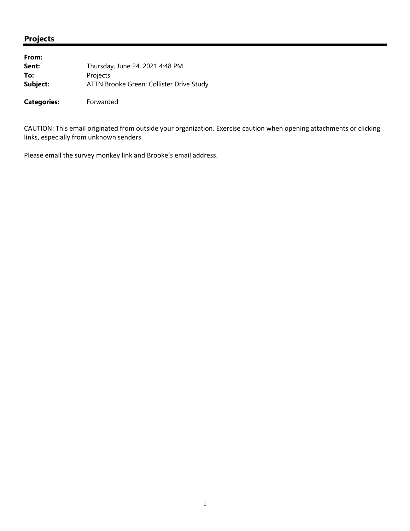| From:              |                                          |
|--------------------|------------------------------------------|
| Sent:              | Thursday, June 24, 2021 4:48 PM          |
| To:                | Projects                                 |
| Subject:           | ATTN Brooke Green: Collister Drive Study |
| <b>Categories:</b> | Forwarded                                |

CAUTION: This email originated from outside your organization. Exercise caution when opening attachments or clicking links, especially from unknown senders.

Please email the survey monkey link and Brooke's email address.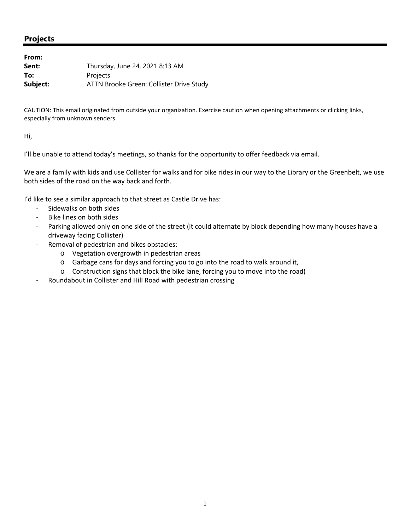| From:    |                                          |
|----------|------------------------------------------|
| Sent:    | Thursday, June 24, 2021 8:13 AM          |
| To:      | Projects                                 |
| Subject: | ATTN Brooke Green: Collister Drive Study |

CAUTION: This email originated from outside your organization. Exercise caution when opening attachments or clicking links, especially from unknown senders.

Hi,

I'll be unable to attend today's meetings, so thanks for the opportunity to offer feedback via email.

We are a family with kids and use Collister for walks and for bike rides in our way to the Library or the Greenbelt, we use both sides of the road on the way back and forth.

I'd like to see a similar approach to that street as Castle Drive has:

- ‐ Sidewalks on both sides
- ‐ Bike lines on both sides
- Parking allowed only on one side of the street (it could alternate by block depending how many houses have a driveway facing Collister)
- ‐ Removal of pedestrian and bikes obstacles:
	- o Vegetation overgrowth in pedestrian areas
	- o Garbage cans for days and forcing you to go into the road to walk around it,
	- o Construction signs that block the bike lane, forcing you to move into the road)
- ‐ Roundabout in Collister and Hill Road with pedestrian crossing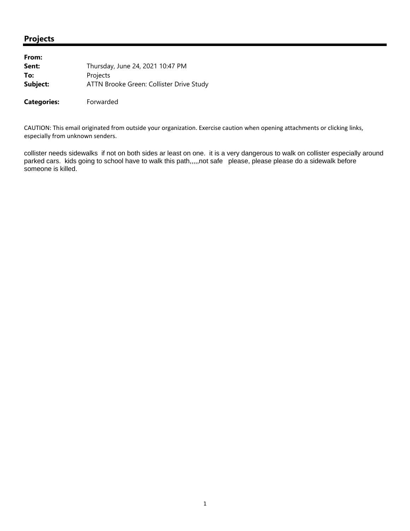| From:              |                                          |
|--------------------|------------------------------------------|
| Sent:              | Thursday, June 24, 2021 10:47 PM         |
| To:                | Projects                                 |
| Subject:           | ATTN Brooke Green: Collister Drive Study |
| <b>Categories:</b> | Forwarded                                |

CAUTION: This email originated from outside your organization. Exercise caution when opening attachments or clicking links, especially from unknown senders.

collister needs sidewalks if not on both sides ar least on one. it is a very dangerous to walk on collister especially around parked cars. kids going to school have to walk this path,,,,,not safe please, please please do a sidewalk before someone is killed.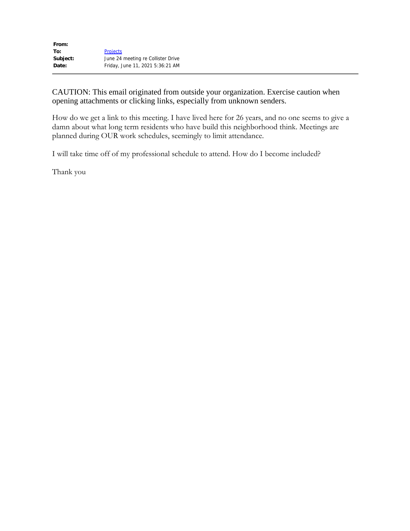| From:    |                                    |
|----------|------------------------------------|
| To:      | <b>Projects</b>                    |
| Subject: | June 24 meeting re Collister Drive |
| Date:    | Friday, June 11, 2021 5:36:21 AM   |
|          |                                    |

How do we get a link to this meeting. I have lived here for 26 years, and no one seems to give a damn about what long term residents who have build this neighborhood think. Meetings are planned during OUR work schedules, seemingly to limit attendance.

I will take time off of my professional schedule to attend. How do I become included?

Thank you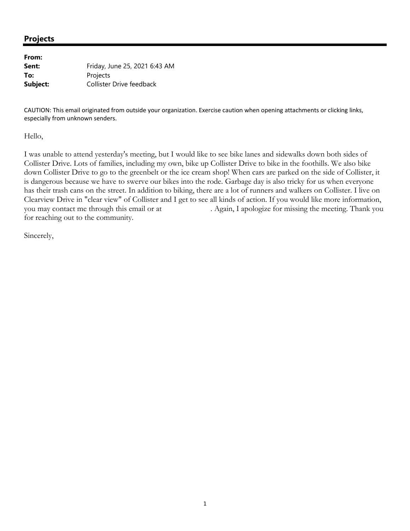| From:    |                               |
|----------|-------------------------------|
| Sent:    | Friday, June 25, 2021 6:43 AM |
| To:      | Projects                      |
| Subject: | Collister Drive feedback      |

CAUTION: This email originated from outside your organization. Exercise caution when opening attachments or clicking links, especially from unknown senders.

Hello,

I was unable to attend yesterday's meeting, but I would like to see bike lanes and sidewalks down both sides of Collister Drive. Lots of families, including my own, bike up Collister Drive to bike in the foothills. We also bike down Collister Drive to go to the greenbelt or the ice cream shop! When cars are parked on the side of Collister, it is dangerous because we have to swerve our bikes into the rode. Garbage day is also tricky for us when everyone has their trash cans on the street. In addition to biking, there are a lot of runners and walkers on Collister. I live on Clearview Drive in "clear view" of Collister and I get to see all kinds of action. If you would like more information, you may contact me through this email or at . Again, I apologize for missing the meeting. Thank you for reaching out to the community.

Sincerely,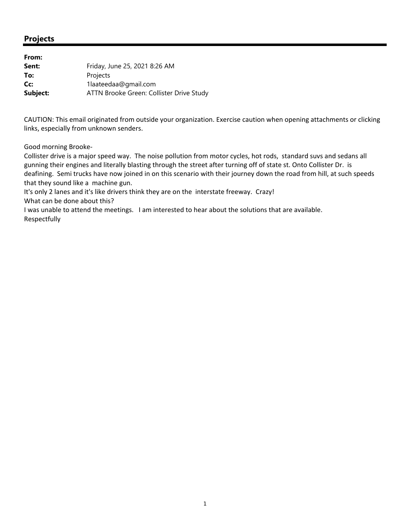| From:    |                                          |
|----------|------------------------------------------|
| Sent:    | Friday, June 25, 2021 8:26 AM            |
| To:      | Projects                                 |
| Cc:      | 1laateedaa@gmail.com                     |
| Subject: | ATTN Brooke Green: Collister Drive Study |

CAUTION: This email originated from outside your organization. Exercise caution when opening attachments or clicking links, especially from unknown senders.

Good morning Brooke‐

Collister drive is a major speed way. The noise pollution from motor cycles, hot rods, standard suvs and sedans all gunning their engines and literally blasting through the street after turning off of state st. Onto Collister Dr. is deafining. Semi trucks have now joined in on this scenario with their journey down the road from hill, at such speeds that they sound like a machine gun.

It's only 2 lanes and it's like drivers think they are on the interstate freeway. Crazy!

What can be done about this?

I was unable to attend the meetings. I am interested to hear about the solutions that are available. Respectfully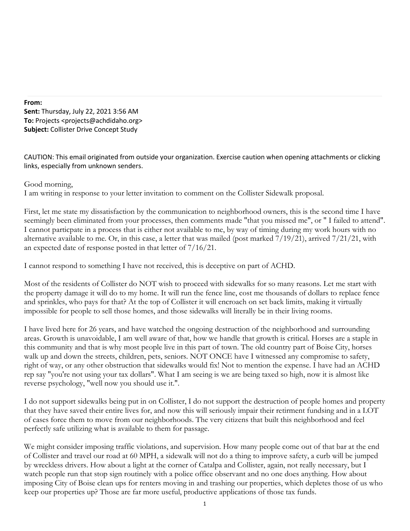#### **From:**

**Sent:** Thursday, July 22, 2021 3:56 AM **To:** Projects <projects@achdidaho.org> **Subject:** Collister Drive Concept Study

CAUTION: This email originated from outside your organization. Exercise caution when opening attachments or clicking links, especially from unknown senders.

## Good morning,

I am writing in response to your letter invitation to comment on the Collister Sidewalk proposal.

First, let me state my dissatisfaction by the communication to neighborhood owners, this is the second time I have seemingly been eliminated from your processes, then comments made "that you missed me", or " I failed to attend". I cannot particpate in a process that is either not available to me, by way of timing during my work hours with no alternative available to me. Or, in this case, a letter that was mailed (post marked 7/19/21), arrived 7/21/21, with an expected date of response posted in that letter of 7/16/21.

I cannot respond to something I have not received, this is deceptive on part of ACHD.

Most of the residents of Collister do NOT wish to proceed with sidewalks for so many reasons. Let me start with the property damage it will do to my home. It will run the fence line, cost me thousands of dollars to replace fence and sprinkles, who pays for that? At the top of Collister it will encroach on set back limits, making it virtually impossible for people to sell those homes, and those sidewalks will literally be in their living rooms.

I have lived here for 26 years, and have watched the ongoing destruction of the neighborhood and surrounding areas. Growth is unavoidable, I am well aware of that, how we handle that growth is critical. Horses are a staple in this community and that is why most people live in this part of town. The old country part of Boise City, horses walk up and down the streets, children, pets, seniors. NOT ONCE have I witnessed any compromise to safety, right of way, or any other obstruction that sidewalks would fix! Not to mention the expense. I have had an ACHD rep say "you're not using your tax dollars". What I am seeing is we are being taxed so high, now it is almost like reverse psychology, "well now you should use it.".

I do not support sidewalks being put in on Collister, I do not support the destruction of people homes and property that they have saved their entire lives for, and now this will seriously impair their retirment fundsing and in a LOT of cases force them to move from our neighborhoods. The very citizens that built this neighborhood and feel perfectly safe utilizing what is available to them for passage.

We might consider imposing traffic violations, and supervision. How many people come out of that bar at the end of Collister and travel our road at 60 MPH, a sidewalk will not do a thing to improve safety, a curb will be jumped by wreckless drivers. How about a light at the corner of Catalpa and Collister, again, not really necessary, but I watch people run that stop sign routinely with a police office observant and no one does anything. How about imposing City of Boise clean ups for renters moving in and trashing our properties, which depletes those of us who keep our properties up? Those are far more useful, productive applications of those tax funds.